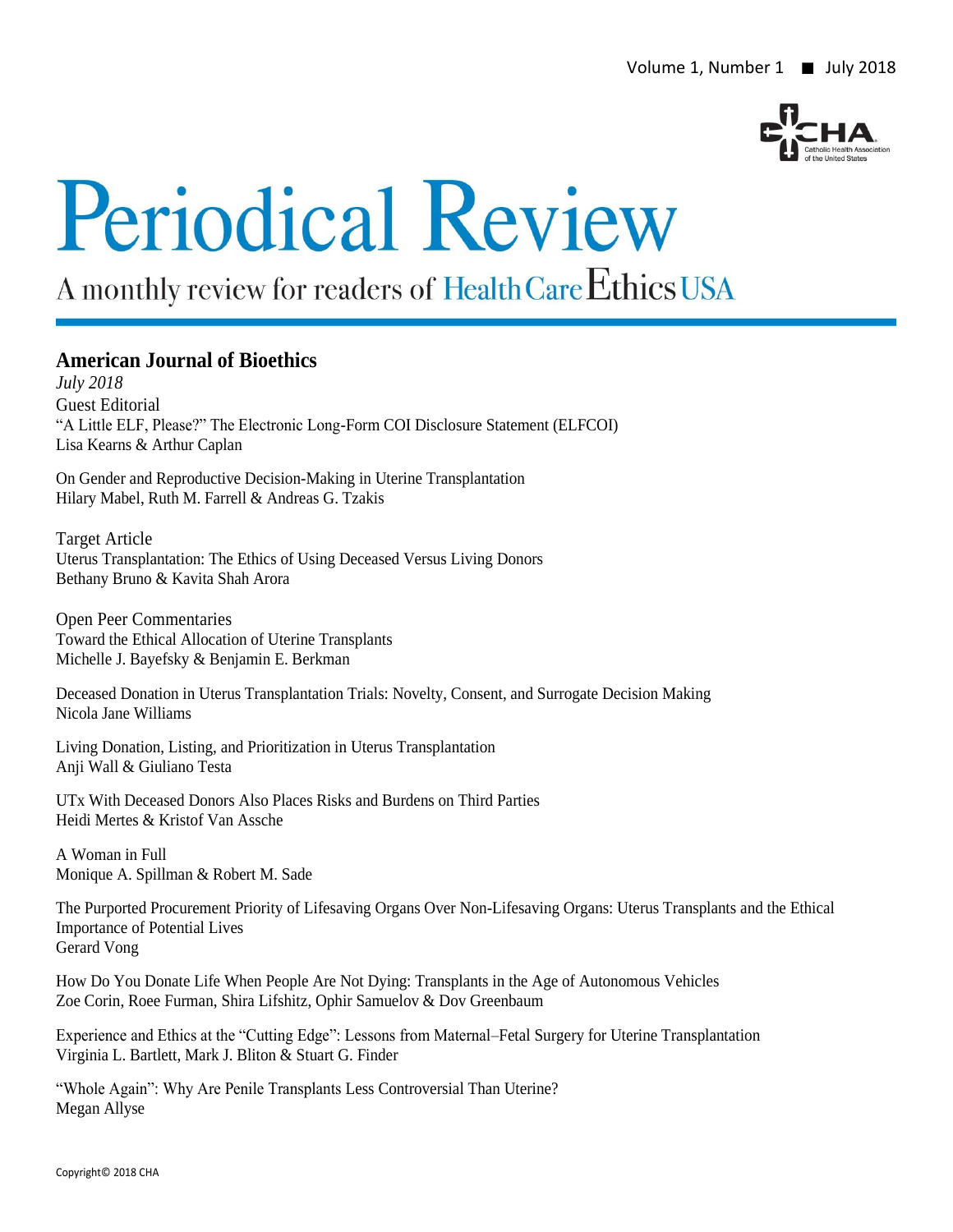

# **Periodical Review**

# A monthly review for readers of Health Care Ethics USA

#### **American Journal of Bioethics**

*July 2018* Guest Editorial "A Little ELF, Please?" The Electronic Long-Form COI Disclosure Statement (ELFCOI) Lisa Kearns & Arthur Caplan

On Gender and Reproductive Decision-Making in Uterine Transplantation Hilary Mabel, Ruth M. Farrell & Andreas G. Tzakis

Target Article Uterus Transplantation: The Ethics of Using Deceased Versus Living Donors Bethany Bruno & Kavita Shah Arora

Open Peer Commentaries Toward the Ethical Allocation of Uterine Transplants Michelle J. Bayefsky & Benjamin E. Berkman

Deceased Donation in Uterus Transplantation Trials: Novelty, Consent, and Surrogate Decision Making Nicola Jane Williams

Living Donation, Listing, and Prioritization in Uterus Transplantation Anji Wall & Giuliano Testa

UTx With Deceased Donors Also Places Risks and Burdens on Third Parties Heidi Mertes & Kristof Van Assche

A Woman in Full Monique A. Spillman & Robert M. Sade

The Purported Procurement Priority of Lifesaving Organs Over Non-Lifesaving Organs: Uterus Transplants and the Ethical Importance of Potential Lives Gerard Vong

How Do You Donate Life When People Are Not Dying: Transplants in the Age of Autonomous Vehicles Zoe Corin, Roee Furman, Shira Lifshitz, Ophir Samuelov & Dov Greenbaum

Experience and Ethics at the "Cutting Edge": Lessons from Maternal–Fetal Surgery for Uterine Transplantation Virginia L. Bartlett, Mark J. Bliton & Stuart G. Finder

"Whole Again": Why Are Penile Transplants Less Controversial Than Uterine? Megan Allyse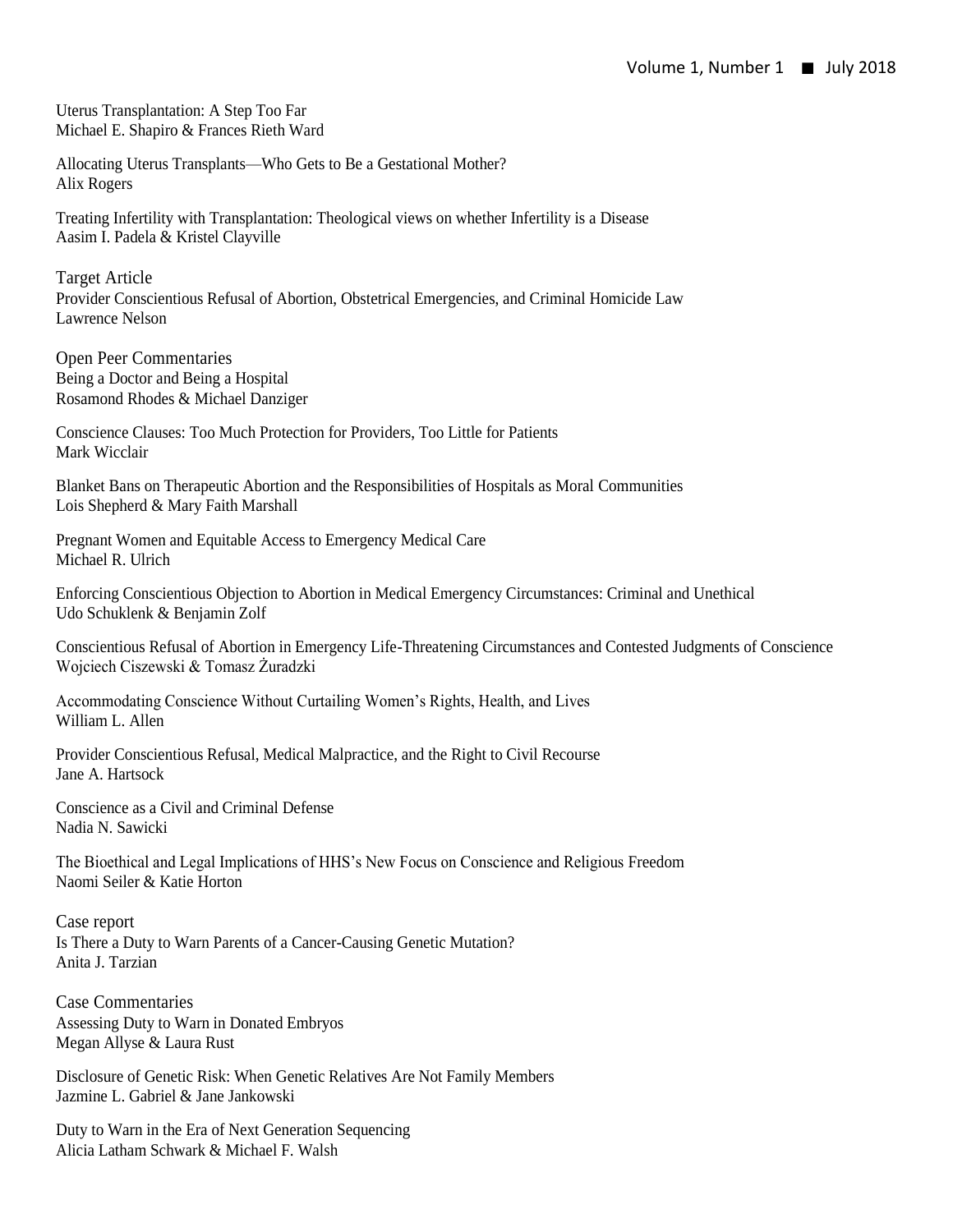Uterus Transplantation: A Step Too Far Michael E. Shapiro & Frances Rieth Ward

Allocating Uterus Transplants—Who Gets to Be a Gestational Mother? Alix Rogers

Treating Infertility with Transplantation: Theological views on whether Infertility is a Disease Aasim I. Padela & Kristel Clayville

Target Article Provider Conscientious Refusal of Abortion, Obstetrical Emergencies, and Criminal Homicide Law Lawrence Nelson

Open Peer Commentaries Being a Doctor and Being a Hospital Rosamond Rhodes & Michael Danziger

Conscience Clauses: Too Much Protection for Providers, Too Little for Patients Mark Wicclair

Blanket Bans on Therapeutic Abortion and the Responsibilities of Hospitals as Moral Communities Lois Shepherd & Mary Faith Marshall

Pregnant Women and Equitable Access to Emergency Medical Care Michael R. Ulrich

Enforcing Conscientious Objection to Abortion in Medical Emergency Circumstances: Criminal and Unethical Udo Schuklenk & Benjamin Zolf

Conscientious Refusal of Abortion in Emergency Life-Threatening Circumstances and Contested Judgments of Conscience Wojciech Ciszewski & Tomasz Żuradzki

Accommodating Conscience Without Curtailing Women's Rights, Health, and Lives William L. Allen

Provider Conscientious Refusal, Medical Malpractice, and the Right to Civil Recourse Jane A. Hartsock

Conscience as a Civil and Criminal Defense Nadia N. Sawicki

The Bioethical and Legal Implications of HHS's New Focus on Conscience and Religious Freedom Naomi Seiler & Katie Horton

Case report Is There a Duty to Warn Parents of a Cancer-Causing Genetic Mutation? Anita J. Tarzian

Case Commentaries Assessing Duty to Warn in Donated Embryos Megan Allyse & Laura Rust

Disclosure of Genetic Risk: When Genetic Relatives Are Not Family Members Jazmine L. Gabriel & Jane Jankowski

Duty to Warn in the Era of Next Generation Sequencing Alicia Latham Schwark & Michael F. Walsh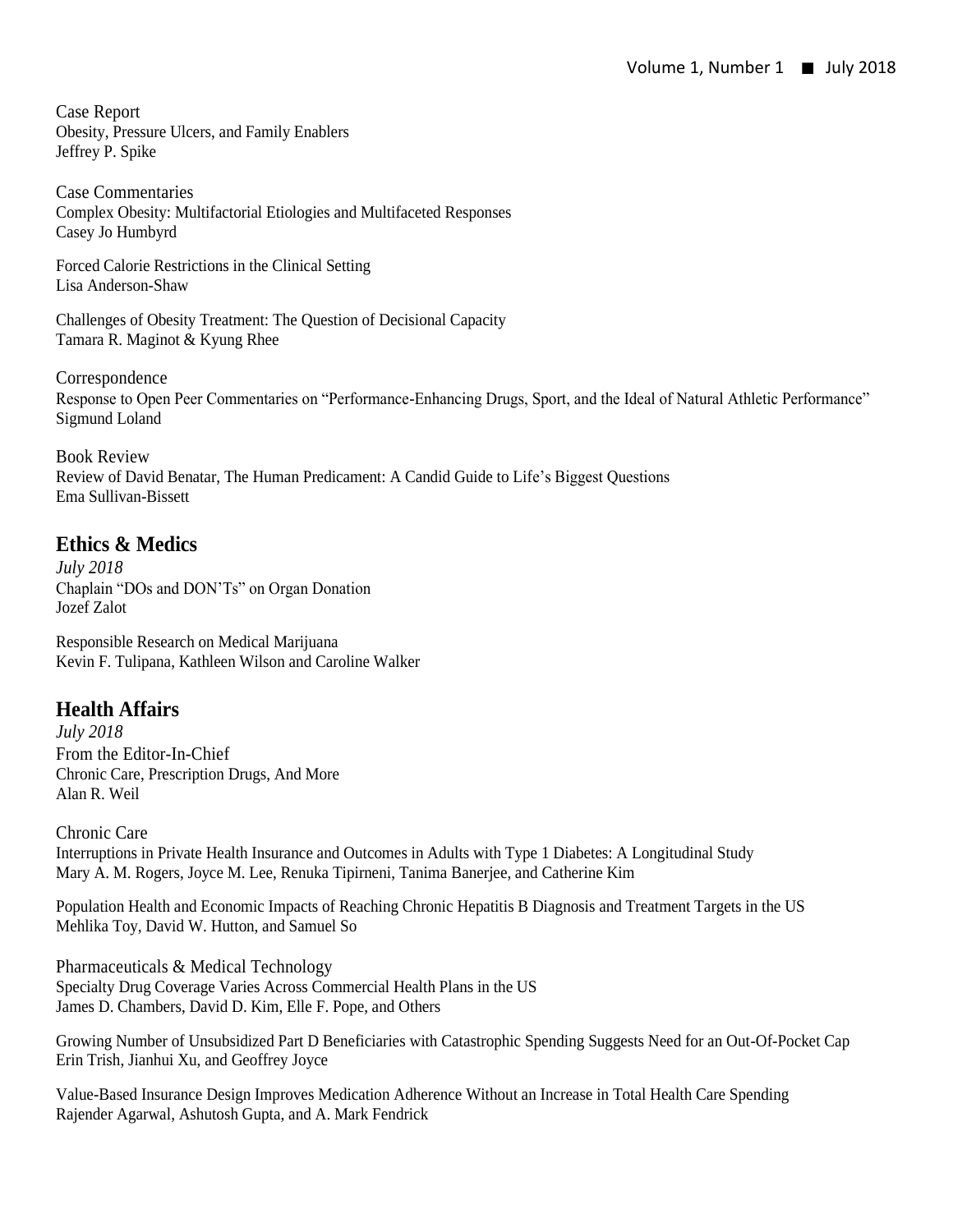Case Report Obesity, Pressure Ulcers, and Family Enablers Jeffrey P. Spike

Case Commentaries Complex Obesity: Multifactorial Etiologies and Multifaceted Responses Casey Jo Humbyrd

Forced Calorie Restrictions in the Clinical Setting Lisa Anderson-Shaw

Challenges of Obesity Treatment: The Question of Decisional Capacity Tamara R. Maginot & Kyung Rhee

Correspondence Response to Open Peer Commentaries on "Performance-Enhancing Drugs, Sport, and the Ideal of Natural Athletic Performance" Sigmund Loland

Book Review Review of David Benatar, The Human Predicament: A Candid Guide to Life's Biggest Questions Ema Sullivan-Bissett

#### **Ethics & Medics**

*July 2018* Chaplain "DOs and DON'Ts" on Organ Donation Jozef Zalot

Responsible Research on Medical Marijuana Kevin F. Tulipana, Kathleen Wilson and Caroline Walker

## **Health Affairs**

*July 2018* From the Editor-In-Chief Chronic Care, Prescription Drugs, And More Alan R. Weil

Chronic Care Interruptions in Private Health Insurance and Outcomes in Adults with Type 1 Diabetes: A Longitudinal Study Mary A. M. Rogers, Joyce M. Lee, Renuka Tipirneni, Tanima Banerjee, and Catherine Kim

Population Health and Economic Impacts of Reaching Chronic Hepatitis B Diagnosis and Treatment Targets in the US Mehlika Toy, David W. Hutton, and Samuel So

Pharmaceuticals & Medical Technology Specialty Drug Coverage Varies Across Commercial Health Plans in the US James D. Chambers, David D. Kim, Elle F. Pope, and Others

Growing Number of Unsubsidized Part D Beneficiaries with Catastrophic Spending Suggests Need for an Out-Of-Pocket Cap Erin Trish, Jianhui Xu, and Geoffrey Joyce

Value-Based Insurance Design Improves Medication Adherence Without an Increase in Total Health Care Spending Rajender Agarwal, Ashutosh Gupta, and A. Mark Fendrick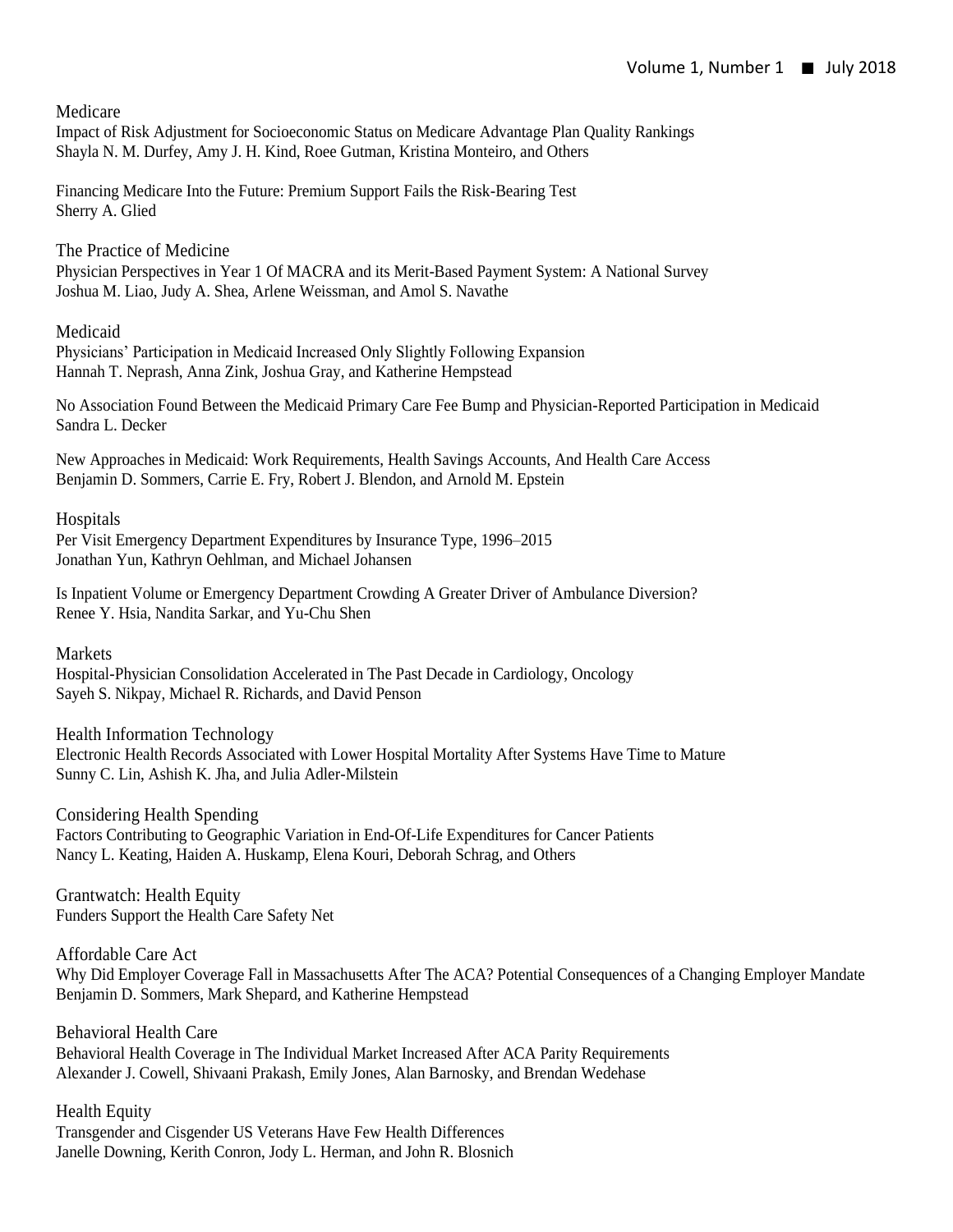Medicare

Impact of Risk Adjustment for Socioeconomic Status on Medicare Advantage Plan Quality Rankings Shayla N. M. Durfey, Amy J. H. Kind, Roee Gutman, Kristina Monteiro, and Others

Financing Medicare Into the Future: Premium Support Fails the Risk-Bearing Test Sherry A. Glied

The Practice of Medicine Physician Perspectives in Year 1 Of MACRA and its Merit-Based Payment System: A National Survey Joshua M. Liao, Judy A. Shea, Arlene Weissman, and Amol S. Navathe

Medicaid

Physicians' Participation in Medicaid Increased Only Slightly Following Expansion Hannah T. Neprash, Anna Zink, Joshua Gray, and Katherine Hempstead

No Association Found Between the Medicaid Primary Care Fee Bump and Physician-Reported Participation in Medicaid Sandra L. Decker

New Approaches in Medicaid: Work Requirements, Health Savings Accounts, And Health Care Access Benjamin D. Sommers, Carrie E. Fry, Robert J. Blendon, and Arnold M. Epstein

Hospitals

Per Visit Emergency Department Expenditures by Insurance Type, 1996–2015 Jonathan Yun, Kathryn Oehlman, and Michael Johansen

Is Inpatient Volume or Emergency Department Crowding A Greater Driver of Ambulance Diversion? Renee Y. Hsia, Nandita Sarkar, and Yu-Chu Shen

Markets

Hospital-Physician Consolidation Accelerated in The Past Decade in Cardiology, Oncology Sayeh S. Nikpay, Michael R. Richards, and David Penson

Health Information Technology Electronic Health Records Associated with Lower Hospital Mortality After Systems Have Time to Mature Sunny C. Lin, Ashish K. Jha, and Julia Adler-Milstein

Considering Health Spending Factors Contributing to Geographic Variation in End-Of-Life Expenditures for Cancer Patients Nancy L. Keating, Haiden A. Huskamp, Elena Kouri, Deborah Schrag, and Others

Grantwatch: Health Equity Funders Support the Health Care Safety Net

Affordable Care Act Why Did Employer Coverage Fall in Massachusetts After The ACA? Potential Consequences of a Changing Employer Mandate Benjamin D. Sommers, Mark Shepard, and Katherine Hempstead

Behavioral Health Care Behavioral Health Coverage in The Individual Market Increased After ACA Parity Requirements Alexander J. Cowell, Shivaani Prakash, Emily Jones, Alan Barnosky, and Brendan Wedehase

Health Equity Transgender and Cisgender US Veterans Have Few Health Differences Janelle Downing, Kerith Conron, Jody L. Herman, and John R. Blosnich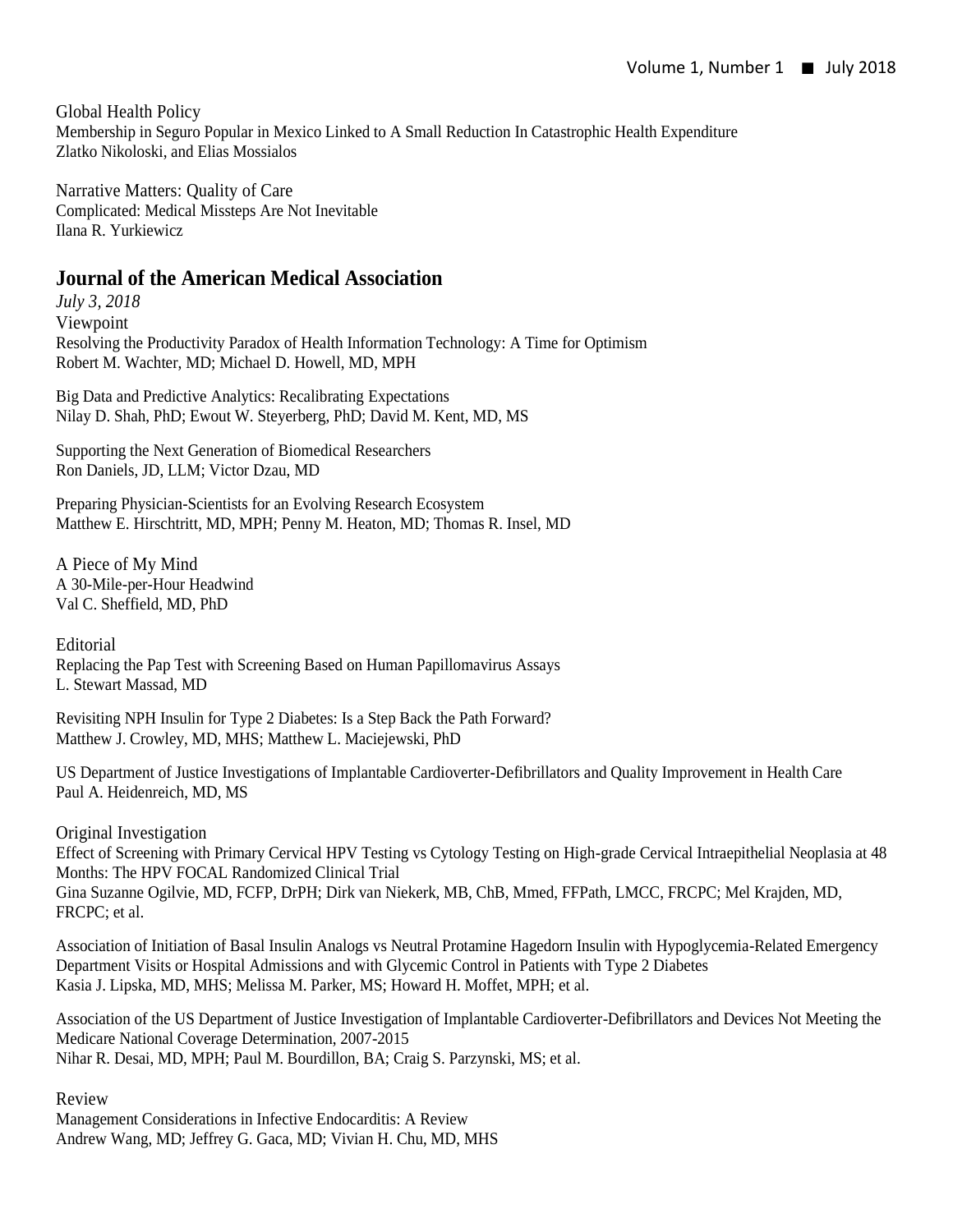Global Health Policy Membership in Seguro Popular in Mexico Linked to A Small Reduction In Catastrophic Health Expenditure Zlatko Nikoloski, and Elias Mossialos

Narrative Matters: Quality of Care Complicated: Medical Missteps Are Not Inevitable Ilana R. Yurkiewicz

#### **Journal of the American Medical Association**

*July 3, 2018* Viewpoint Resolving the Productivity Paradox of Health Information Technology: A Time for Optimism Robert M. Wachter, MD; Michael D. Howell, MD, MPH

Big Data and Predictive Analytics: Recalibrating Expectations Nilay D. Shah, PhD; Ewout W. Steyerberg, PhD; David M. Kent, MD, MS

Supporting the Next Generation of Biomedical Researchers Ron Daniels, JD, LLM; Victor Dzau, MD

Preparing Physician-Scientists for an Evolving Research Ecosystem Matthew E. Hirschtritt, MD, MPH; Penny M. Heaton, MD; Thomas R. Insel, MD

A Piece of My Mind A 30-Mile-per-Hour Headwind Val C. Sheffield, MD, PhD

Editorial

Replacing the Pap Test with Screening Based on Human Papillomavirus Assays L. Stewart Massad, MD

Revisiting NPH Insulin for Type 2 Diabetes: Is a Step Back the Path Forward? Matthew J. Crowley, MD, MHS; Matthew L. Maciejewski, PhD

US Department of Justice Investigations of Implantable Cardioverter-Defibrillators and Quality Improvement in Health Care Paul A. Heidenreich, MD, MS

Original Investigation

Effect of Screening with Primary Cervical HPV Testing vs Cytology Testing on High-grade Cervical Intraepithelial Neoplasia at 48 Months: The HPV FOCAL Randomized Clinical Trial Gina Suzanne Ogilvie, MD, FCFP, DrPH; Dirk van Niekerk, MB, ChB, Mmed, FFPath, LMCC, FRCPC; Mel Krajden, MD, FRCPC; et al.

Association of Initiation of Basal Insulin Analogs vs Neutral Protamine Hagedorn Insulin with Hypoglycemia-Related Emergency Department Visits or Hospital Admissions and with Glycemic Control in Patients with Type 2 Diabetes Kasia J. Lipska, MD, MHS; Melissa M. Parker, MS; Howard H. Moffet, MPH; et al.

Association of the US Department of Justice Investigation of Implantable Cardioverter-Defibrillators and Devices Not Meeting the Medicare National Coverage Determination, 2007-2015 Nihar R. Desai, MD, MPH; Paul M. Bourdillon, BA; Craig S. Parzynski, MS; et al.

Review

Management Considerations in Infective Endocarditis: A Review Andrew Wang, MD; Jeffrey G. Gaca, MD; Vivian H. Chu, MD, MHS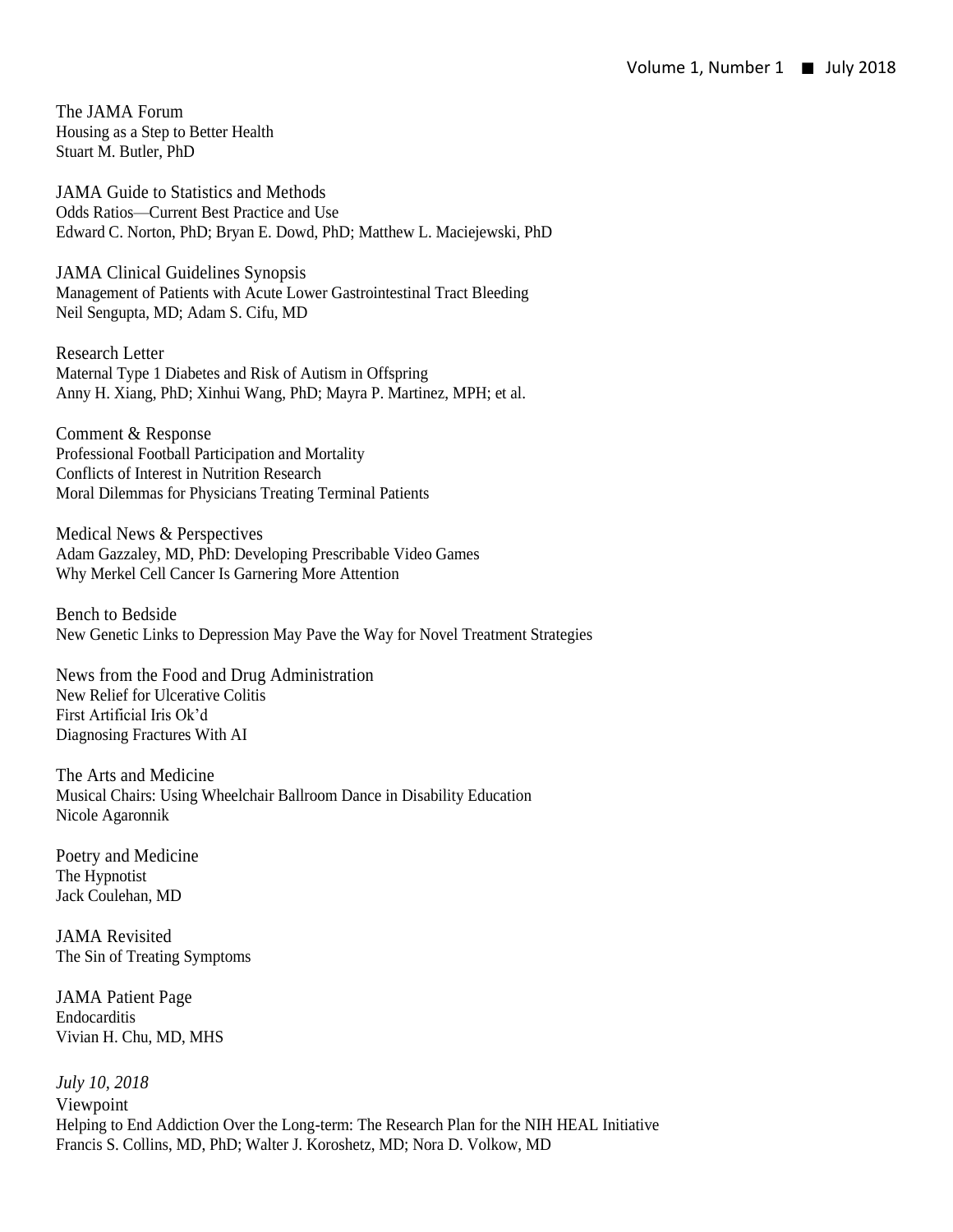The JAMA Forum Housing as a Step to Better Health Stuart M. Butler, PhD

JAMA Guide to Statistics and Methods Odds Ratios—Current Best Practice and Use Edward C. Norton, PhD; Bryan E. Dowd, PhD; Matthew L. Maciejewski, PhD

JAMA Clinical Guidelines Synopsis Management of Patients with Acute Lower Gastrointestinal Tract Bleeding Neil Sengupta, MD; Adam S. Cifu, MD

Research Letter Maternal Type 1 Diabetes and Risk of Autism in Offspring Anny H. Xiang, PhD; Xinhui Wang, PhD; Mayra P. Martinez, MPH; et al.

Comment & Response Professional Football Participation and Mortality Conflicts of Interest in Nutrition Research Moral Dilemmas for Physicians Treating Terminal Patients

Medical News & Perspectives Adam Gazzaley, MD, PhD: Developing Prescribable Video Games Why Merkel Cell Cancer Is Garnering More Attention

Bench to Bedside New Genetic Links to Depression May Pave the Way for Novel Treatment Strategies

News from the Food and Drug Administration New Relief for Ulcerative Colitis First Artificial Iris Ok'd Diagnosing Fractures With AI

The Arts and Medicine Musical Chairs: Using Wheelchair Ballroom Dance in Disability Education Nicole Agaronnik

Poetry and Medicine The Hypnotist Jack Coulehan, MD

JAMA Revisited The Sin of Treating Symptoms

JAMA Patient Page Endocarditis Vivian H. Chu, MD, MHS

*July 10, 2018* Viewpoint Helping to End Addiction Over the Long-term: The Research Plan for the NIH HEAL Initiative Francis S. Collins, MD, PhD; Walter J. Koroshetz, MD; Nora D. Volkow, MD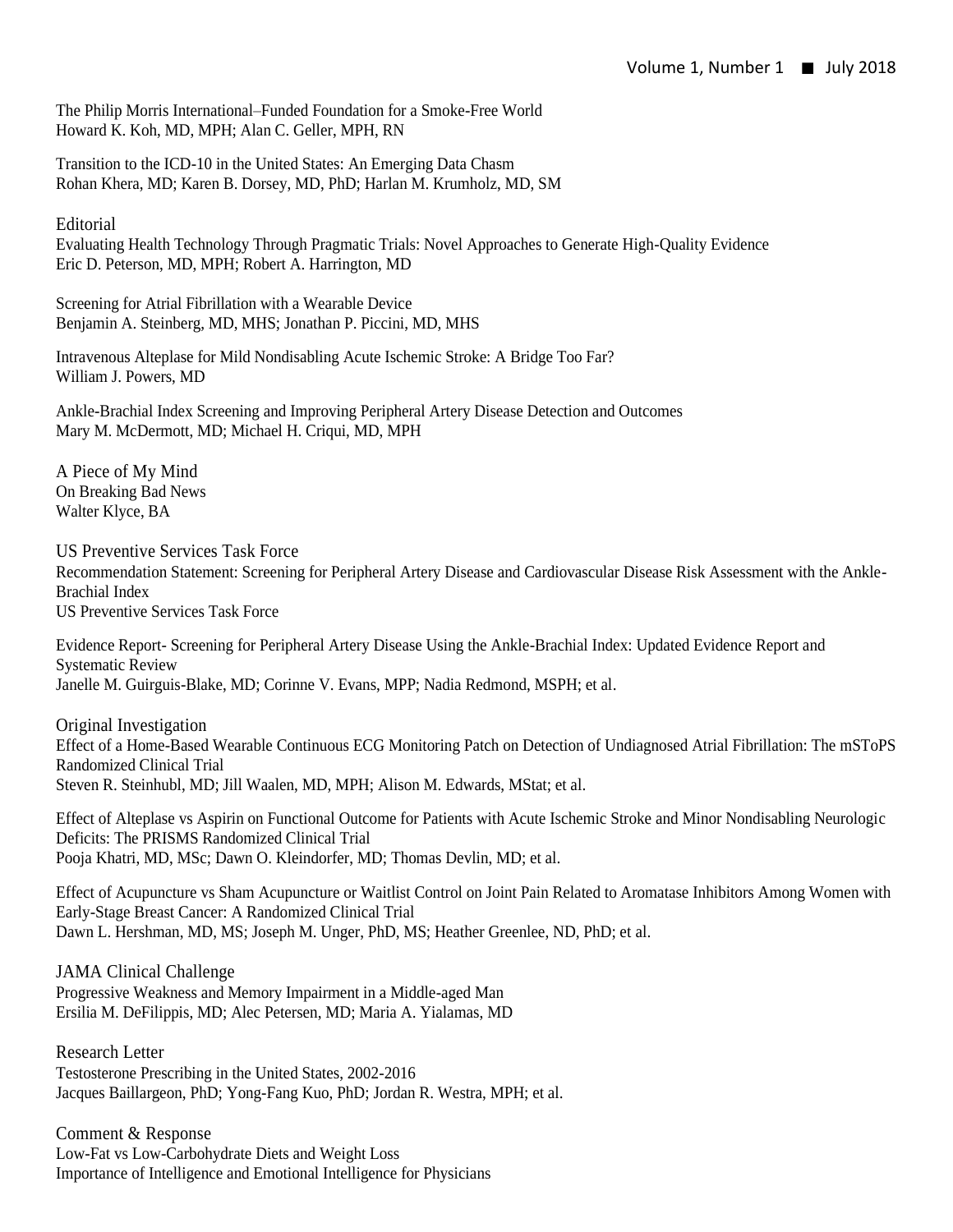The Philip Morris International–Funded Foundation for a Smoke-Free World Howard K. Koh, MD, MPH; Alan C. Geller, MPH, RN

Transition to the ICD-10 in the United States: An Emerging Data Chasm Rohan Khera, MD; Karen B. Dorsey, MD, PhD; Harlan M. Krumholz, MD, SM

Editorial

Evaluating Health Technology Through Pragmatic Trials: Novel Approaches to Generate High-Quality Evidence Eric D. Peterson, MD, MPH; Robert A. Harrington, MD

Screening for Atrial Fibrillation with a Wearable Device Benjamin A. Steinberg, MD, MHS; Jonathan P. Piccini, MD, MHS

Intravenous Alteplase for Mild Nondisabling Acute Ischemic Stroke: A Bridge Too Far? William J. Powers, MD

Ankle-Brachial Index Screening and Improving Peripheral Artery Disease Detection and Outcomes Mary M. McDermott, MD; Michael H. Criqui, MD, MPH

A Piece of My Mind On Breaking Bad News Walter Klyce, BA

US Preventive Services Task Force

Recommendation Statement: Screening for Peripheral Artery Disease and Cardiovascular Disease Risk Assessment with the Ankle-Brachial Index US Preventive Services Task Force

Evidence Report- Screening for Peripheral Artery Disease Using the Ankle-Brachial Index: Updated Evidence Report and Systematic Review Janelle M. Guirguis-Blake, MD; Corinne V. Evans, MPP; Nadia Redmond, MSPH; et al.

Original Investigation Effect of a Home-Based Wearable Continuous ECG Monitoring Patch on Detection of Undiagnosed Atrial Fibrillation: The mSToPS Randomized Clinical Trial Steven R. Steinhubl, MD; Jill Waalen, MD, MPH; Alison M. Edwards, MStat; et al.

Effect of Alteplase vs Aspirin on Functional Outcome for Patients with Acute Ischemic Stroke and Minor Nondisabling Neurologic Deficits: The PRISMS Randomized Clinical Trial Pooja Khatri, MD, MSc; Dawn O. Kleindorfer, MD; Thomas Devlin, MD; et al.

Effect of Acupuncture vs Sham Acupuncture or Waitlist Control on Joint Pain Related to Aromatase Inhibitors Among Women with Early-Stage Breast Cancer: A Randomized Clinical Trial Dawn L. Hershman, MD, MS; Joseph M. Unger, PhD, MS; Heather Greenlee, ND, PhD; et al.

JAMA Clinical Challenge Progressive Weakness and Memory Impairment in a Middle-aged Man Ersilia M. DeFilippis, MD; Alec Petersen, MD; Maria A. Yialamas, MD

Research Letter Testosterone Prescribing in the United States, 2002-2016 Jacques Baillargeon, PhD; Yong-Fang Kuo, PhD; Jordan R. Westra, MPH; et al.

Comment & Response Low-Fat vs Low-Carbohydrate Diets and Weight Loss Importance of Intelligence and Emotional Intelligence for Physicians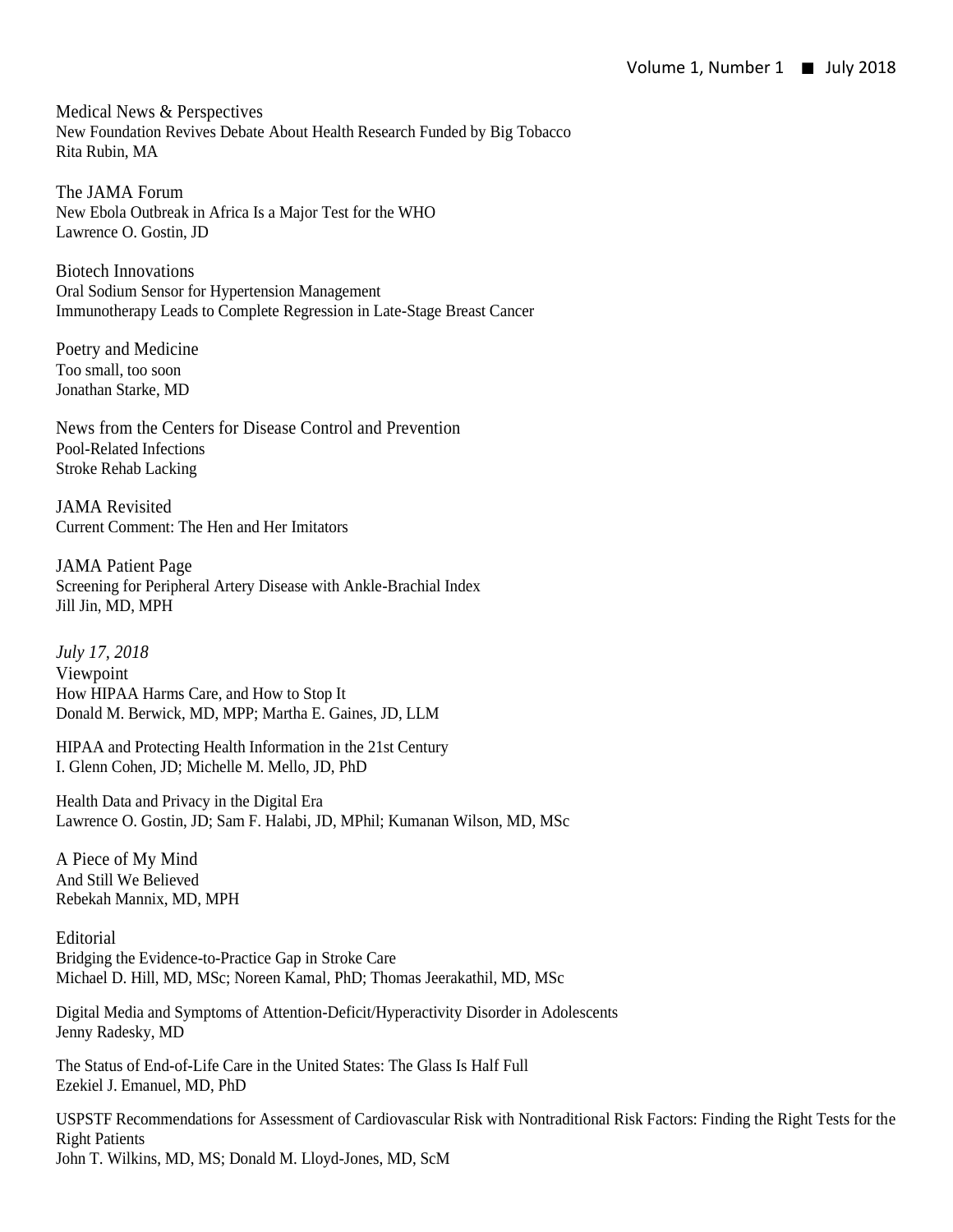Medical News & Perspectives New Foundation Revives Debate About Health Research Funded by Big Tobacco Rita Rubin, MA

The JAMA Forum New Ebola Outbreak in Africa Is a Major Test for the WHO Lawrence O. Gostin, JD

Biotech Innovations Oral Sodium Sensor for Hypertension Management Immunotherapy Leads to Complete Regression in Late-Stage Breast Cancer

Poetry and Medicine Too small, too soon Jonathan Starke, MD

News from the Centers for Disease Control and Prevention Pool-Related Infections Stroke Rehab Lacking

JAMA Revisited Current Comment: The Hen and Her Imitators

JAMA Patient Page Screening for Peripheral Artery Disease with Ankle-Brachial Index Jill Jin, MD, MPH

*July 17, 2018* Viewpoint How HIPAA Harms Care, and How to Stop It Donald M. Berwick, MD, MPP; Martha E. Gaines, JD, LLM

HIPAA and Protecting Health Information in the 21st Century I. Glenn Cohen, JD; Michelle M. Mello, JD, PhD

Health Data and Privacy in the Digital Era Lawrence O. Gostin, JD; Sam F. Halabi, JD, MPhil; Kumanan Wilson, MD, MSc

A Piece of My Mind And Still We Believed Rebekah Mannix, MD, MPH

**Editorial** Bridging the Evidence-to-Practice Gap in Stroke Care Michael D. Hill, MD, MSc; Noreen Kamal, PhD; Thomas Jeerakathil, MD, MSc

Digital Media and Symptoms of Attention-Deficit/Hyperactivity Disorder in Adolescents Jenny Radesky, MD

The Status of End-of-Life Care in the United States: The Glass Is Half Full Ezekiel J. Emanuel, MD, PhD

USPSTF Recommendations for Assessment of Cardiovascular Risk with Nontraditional Risk Factors: Finding the Right Tests for the Right Patients John T. Wilkins, MD, MS; Donald M. Lloyd-Jones, MD, ScM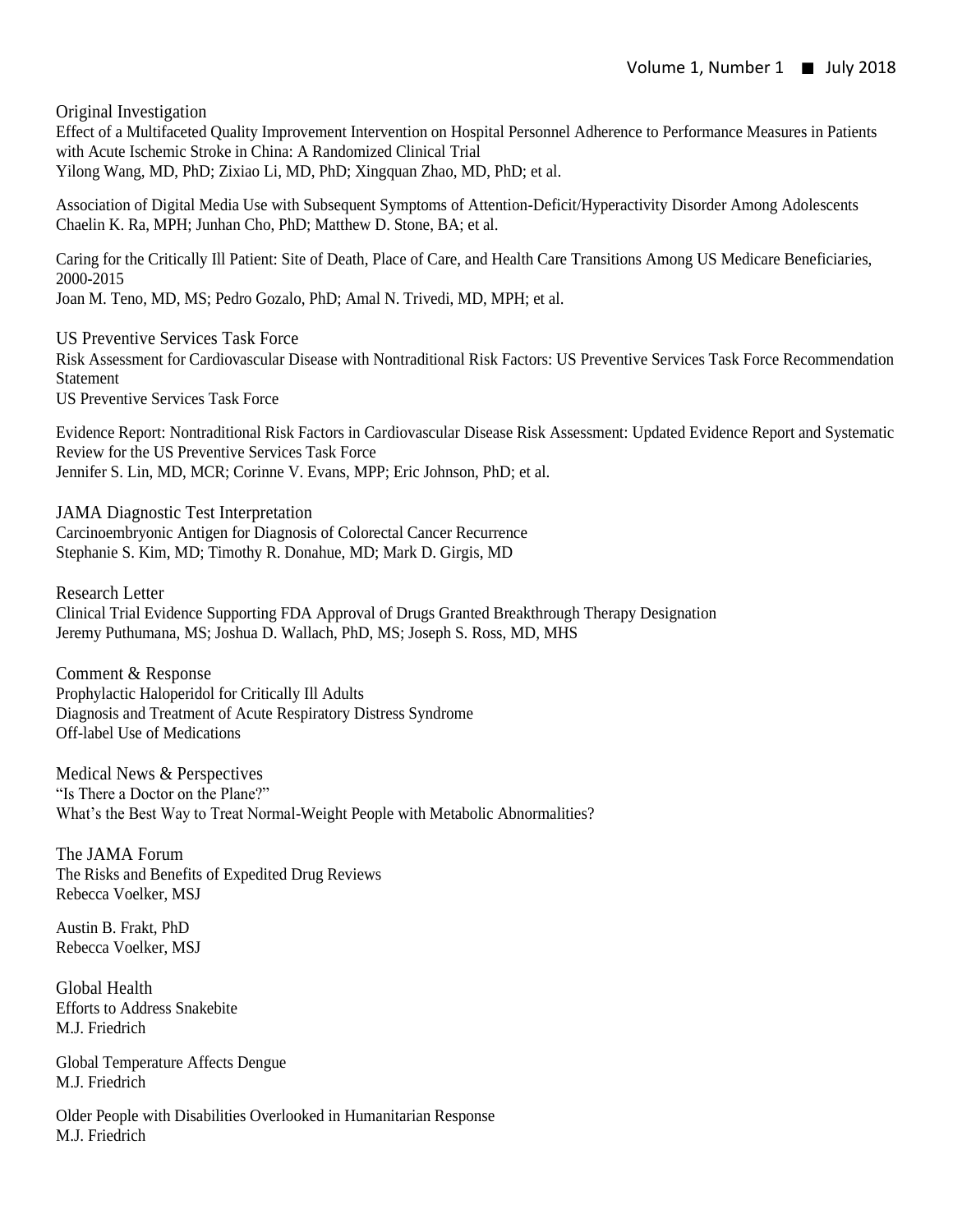Original Investigation

Effect of a Multifaceted Quality Improvement Intervention on Hospital Personnel Adherence to Performance Measures in Patients with Acute Ischemic Stroke in China: A Randomized Clinical Trial Yilong Wang, MD, PhD; Zixiao Li, MD, PhD; Xingquan Zhao, MD, PhD; et al.

Association of Digital Media Use with Subsequent Symptoms of Attention-Deficit/Hyperactivity Disorder Among Adolescents Chaelin K. Ra, MPH; Junhan Cho, PhD; Matthew D. Stone, BA; et al.

Caring for the Critically Ill Patient: Site of Death, Place of Care, and Health Care Transitions Among US Medicare Beneficiaries, 2000-2015

Joan M. Teno, MD, MS; Pedro Gozalo, PhD; Amal N. Trivedi, MD, MPH; et al.

US Preventive Services Task Force Risk Assessment for Cardiovascular Disease with Nontraditional Risk Factors: US Preventive Services Task Force Recommendation Statement

US Preventive Services Task Force

Evidence Report: Nontraditional Risk Factors in Cardiovascular Disease Risk Assessment: Updated Evidence Report and Systematic Review for the US Preventive Services Task Force Jennifer S. Lin, MD, MCR; Corinne V. Evans, MPP; Eric Johnson, PhD; et al.

JAMA Diagnostic Test Interpretation Carcinoembryonic Antigen for Diagnosis of Colorectal Cancer Recurrence Stephanie S. Kim, MD; Timothy R. Donahue, MD; Mark D. Girgis, MD

Research Letter Clinical Trial Evidence Supporting FDA Approval of Drugs Granted Breakthrough Therapy Designation Jeremy Puthumana, MS; Joshua D. Wallach, PhD, MS; Joseph S. Ross, MD, MHS

Comment & Response Prophylactic Haloperidol for Critically Ill Adults Diagnosis and Treatment of Acute Respiratory Distress Syndrome Off-label Use of Medications

Medical News & Perspectives "Is There a Doctor on the Plane?" What's the Best Way to Treat Normal-Weight People with Metabolic Abnormalities?

The JAMA Forum The Risks and Benefits of Expedited Drug Reviews Rebecca Voelker, MSJ

Austin B. Frakt, PhD Rebecca Voelker, MSJ

Global Health Efforts to Address Snakebite M.J. Friedrich

Global Temperature Affects Dengue M.J. Friedrich

Older People with Disabilities Overlooked in Humanitarian Response M.J. Friedrich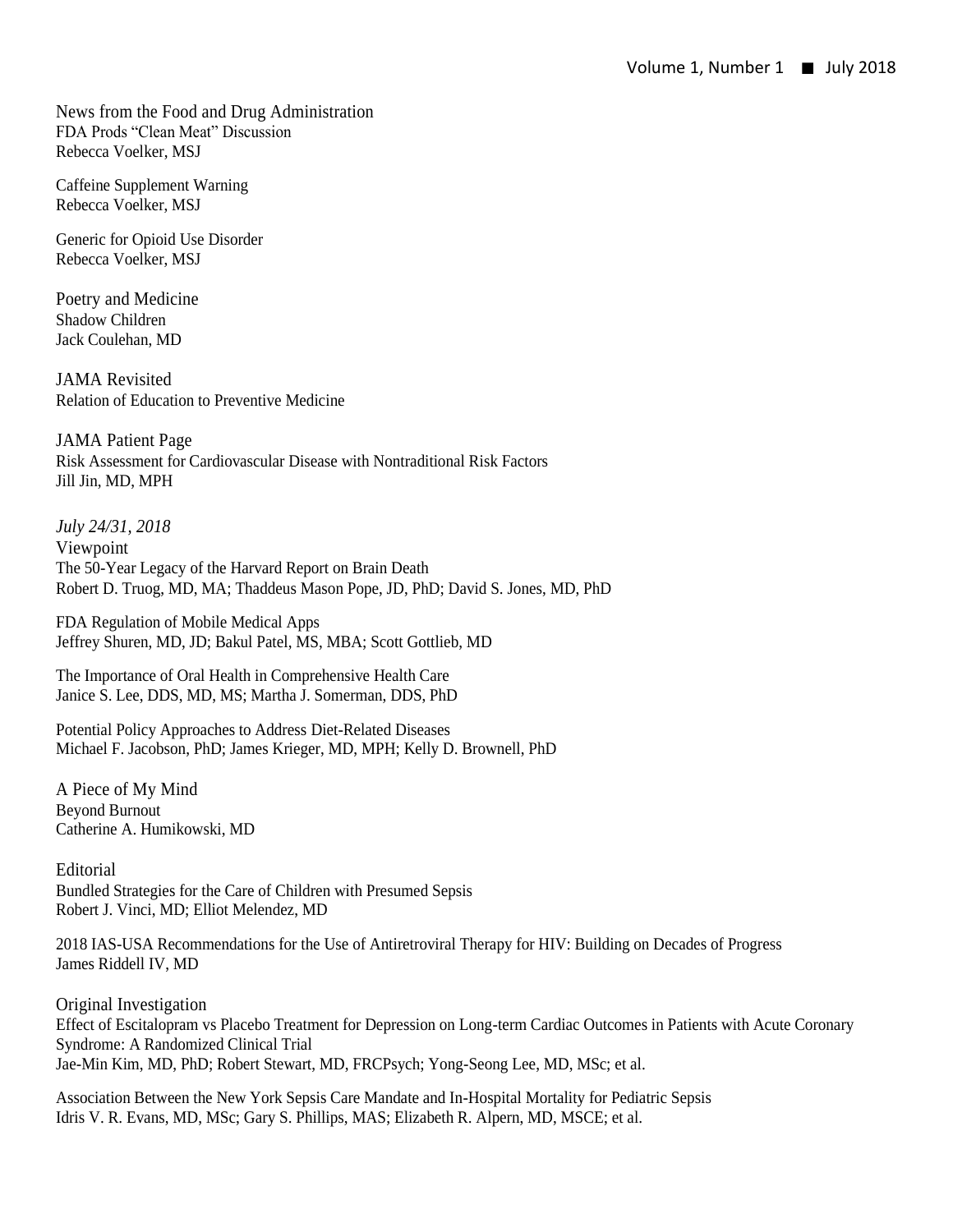News from the Food and Drug Administration FDA Prods "Clean Meat" Discussion Rebecca Voelker, MSJ

Caffeine Supplement Warning Rebecca Voelker, MSJ

Generic for Opioid Use Disorder Rebecca Voelker, MSJ

Poetry and Medicine Shadow Children Jack Coulehan, MD

JAMA Revisited Relation of Education to Preventive Medicine

JAMA Patient Page Risk Assessment for Cardiovascular Disease with Nontraditional Risk Factors Jill Jin, MD, MPH

*July 24/31, 2018* Viewpoint The 50-Year Legacy of the Harvard Report on Brain Death Robert D. Truog, MD, MA; Thaddeus Mason Pope, JD, PhD; David S. Jones, MD, PhD

FDA Regulation of Mobile Medical Apps Jeffrey Shuren, MD, JD; Bakul Patel, MS, MBA; Scott Gottlieb, MD

The Importance of Oral Health in Comprehensive Health Care Janice S. Lee, DDS, MD, MS; Martha J. Somerman, DDS, PhD

Potential Policy Approaches to Address Diet-Related Diseases Michael F. Jacobson, PhD; James Krieger, MD, MPH; Kelly D. Brownell, PhD

A Piece of My Mind Beyond Burnout Catherine A. Humikowski, MD

Editorial Bundled Strategies for the Care of Children with Presumed Sepsis Robert J. Vinci, MD; Elliot Melendez, MD

2018 IAS-USA Recommendations for the Use of Antiretroviral Therapy for HIV: Building on Decades of Progress James Riddell IV, MD

Original Investigation Effect of Escitalopram vs Placebo Treatment for Depression on Long-term Cardiac Outcomes in Patients with Acute Coronary Syndrome: A Randomized Clinical Trial Jae-Min Kim, MD, PhD; Robert Stewart, MD, FRCPsych; Yong-Seong Lee, MD, MSc; et al.

Association Between the New York Sepsis Care Mandate and In-Hospital Mortality for Pediatric Sepsis Idris V. R. Evans, MD, MSc; Gary S. Phillips, MAS; Elizabeth R. Alpern, MD, MSCE; et al.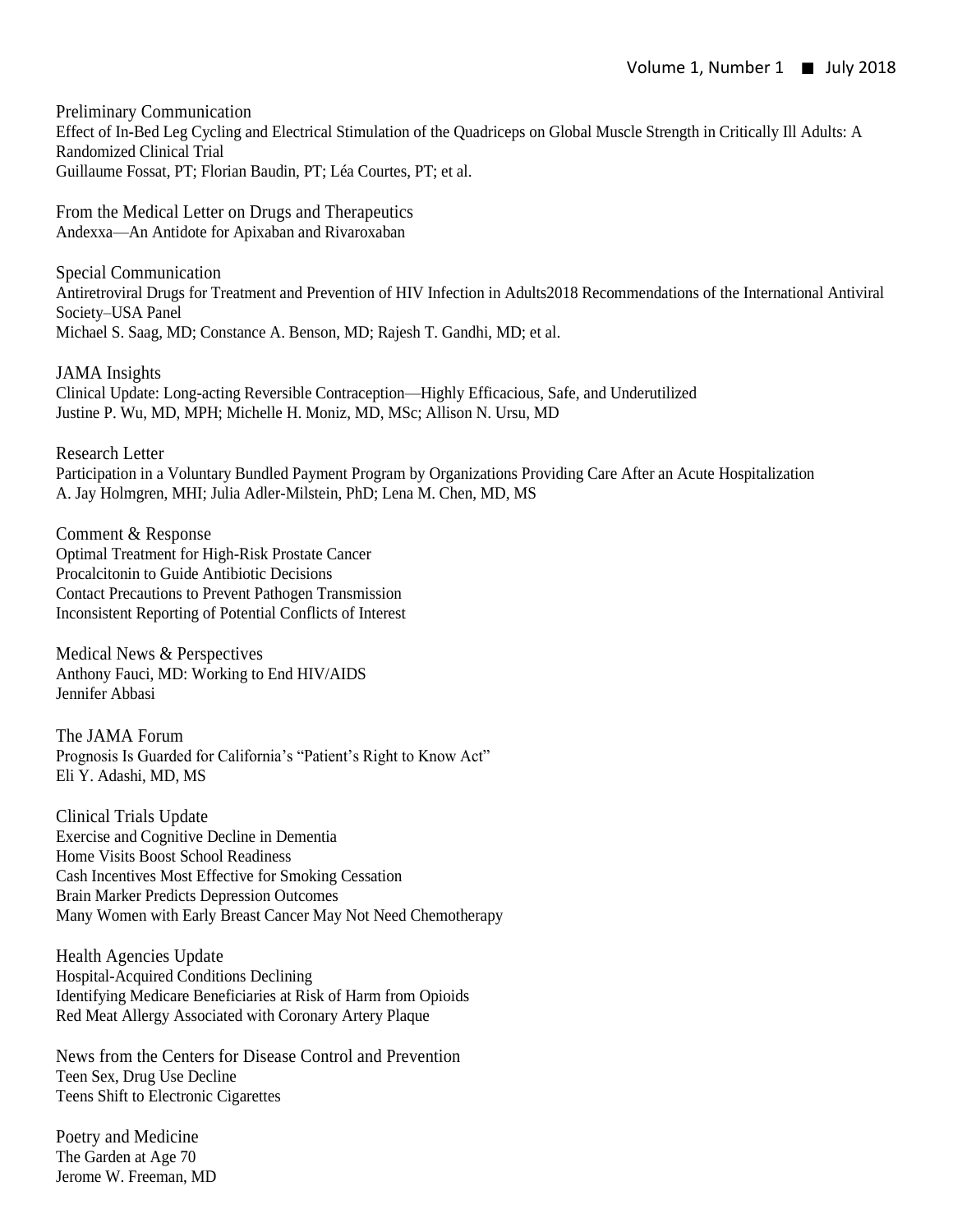Preliminary Communication Effect of In-Bed Leg Cycling and Electrical Stimulation of the Quadriceps on Global Muscle Strength in Critically Ill Adults: A Randomized Clinical Trial Guillaume Fossat, PT; Florian Baudin, PT; Léa Courtes, PT; et al.

From the Medical Letter on Drugs and Therapeutics Andexxa—An Antidote for Apixaban and Rivaroxaban

Special Communication Antiretroviral Drugs for Treatment and Prevention of HIV Infection in Adults2018 Recommendations of the International Antiviral Society–USA Panel Michael S. Saag, MD; Constance A. Benson, MD; Rajesh T. Gandhi, MD; et al.

JAMA Insights Clinical Update: Long-acting Reversible Contraception—Highly Efficacious, Safe, and Underutilized Justine P. Wu, MD, MPH; Michelle H. Moniz, MD, MSc; Allison N. Ursu, MD

Research Letter Participation in a Voluntary Bundled Payment Program by Organizations Providing Care After an Acute Hospitalization A. Jay Holmgren, MHI; Julia Adler-Milstein, PhD; Lena M. Chen, MD, MS

Comment & Response Optimal Treatment for High-Risk Prostate Cancer Procalcitonin to Guide Antibiotic Decisions Contact Precautions to Prevent Pathogen Transmission Inconsistent Reporting of Potential Conflicts of Interest

Medical News & Perspectives Anthony Fauci, MD: Working to End HIV/AIDS Jennifer Abbasi

The JAMA Forum Prognosis Is Guarded for California's "Patient's Right to Know Act" Eli Y. Adashi, MD, MS

Clinical Trials Update Exercise and Cognitive Decline in Dementia Home Visits Boost School Readiness Cash Incentives Most Effective for Smoking Cessation Brain Marker Predicts Depression Outcomes Many Women with Early Breast Cancer May Not Need Chemotherapy

Health Agencies Update Hospital-Acquired Conditions Declining Identifying Medicare Beneficiaries at Risk of Harm from Opioids Red Meat Allergy Associated with Coronary Artery Plaque

News from the Centers for Disease Control and Prevention Teen Sex, Drug Use Decline Teens Shift to Electronic Cigarettes

Poetry and Medicine The Garden at Age 70 Jerome W. Freeman, MD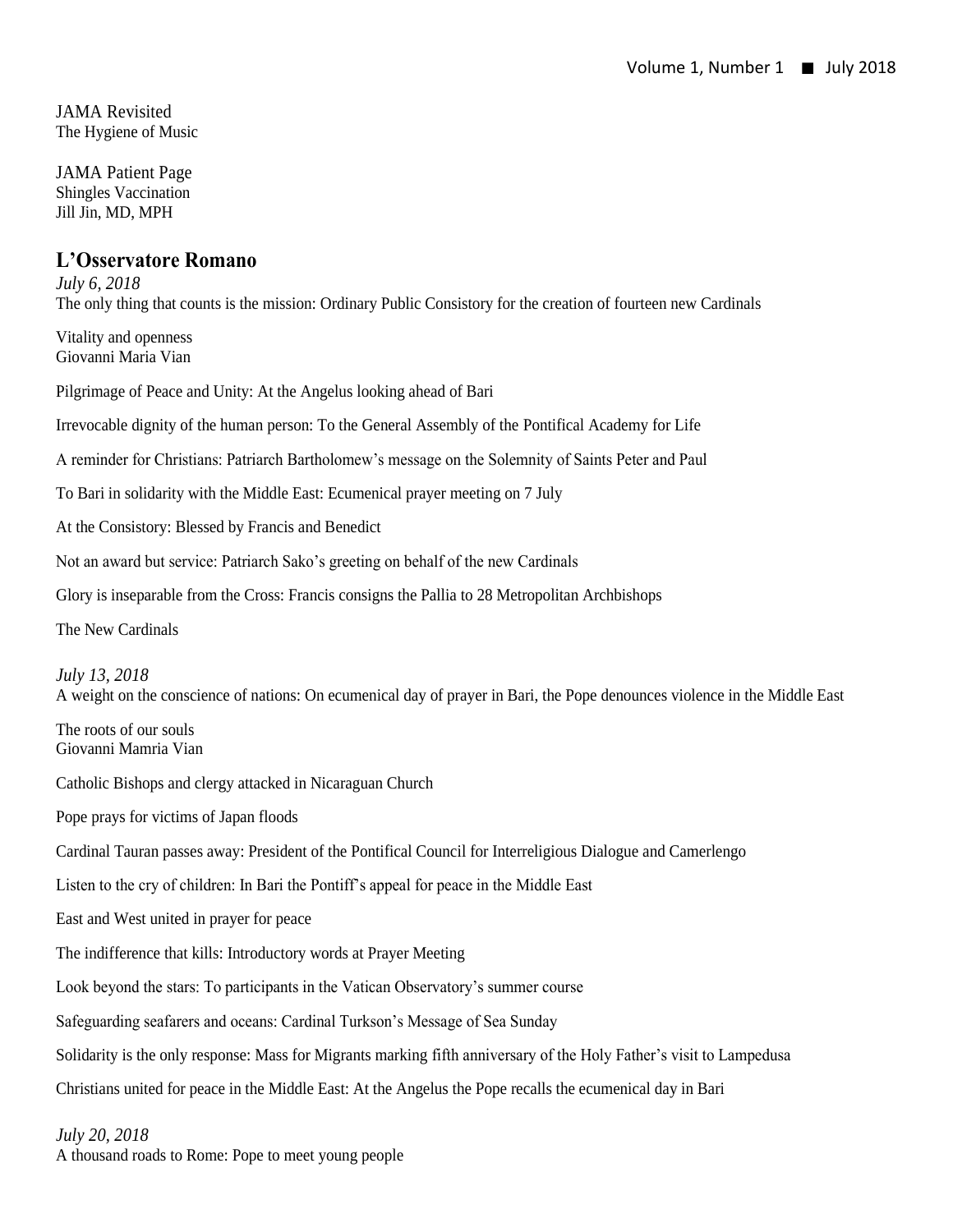JAMA Revisited The Hygiene of Music

JAMA Patient Page Shingles Vaccination Jill Jin, MD, MPH

#### **L'Osservatore Romano**

*July 6, 2018* The only thing that counts is the mission: Ordinary Public Consistory for the creation of fourteen new Cardinals

Vitality and openness Giovanni Maria Vian

Pilgrimage of Peace and Unity: At the Angelus looking ahead of Bari

Irrevocable dignity of the human person: To the General Assembly of the Pontifical Academy for Life

A reminder for Christians: Patriarch Bartholomew's message on the Solemnity of Saints Peter and Paul

To Bari in solidarity with the Middle East: Ecumenical prayer meeting on 7 July

At the Consistory: Blessed by Francis and Benedict

Not an award but service: Patriarch Sako's greeting on behalf of the new Cardinals

Glory is inseparable from the Cross: Francis consigns the Pallia to 28 Metropolitan Archbishops

The New Cardinals

*July 13, 2018* A weight on the conscience of nations: On ecumenical day of prayer in Bari, the Pope denounces violence in the Middle East

The roots of our souls Giovanni Mamria Vian

Catholic Bishops and clergy attacked in Nicaraguan Church

Pope prays for victims of Japan floods

Cardinal Tauran passes away: President of the Pontifical Council for Interreligious Dialogue and Camerlengo

Listen to the cry of children: In Bari the Pontiff's appeal for peace in the Middle East

East and West united in prayer for peace

The indifference that kills: Introductory words at Prayer Meeting

Look beyond the stars: To participants in the Vatican Observatory's summer course

Safeguarding seafarers and oceans: Cardinal Turkson's Message of Sea Sunday

Solidarity is the only response: Mass for Migrants marking fifth anniversary of the Holy Father's visit to Lampedusa

Christians united for peace in the Middle East: At the Angelus the Pope recalls the ecumenical day in Bari

*July 20, 2018*

A thousand roads to Rome: Pope to meet young people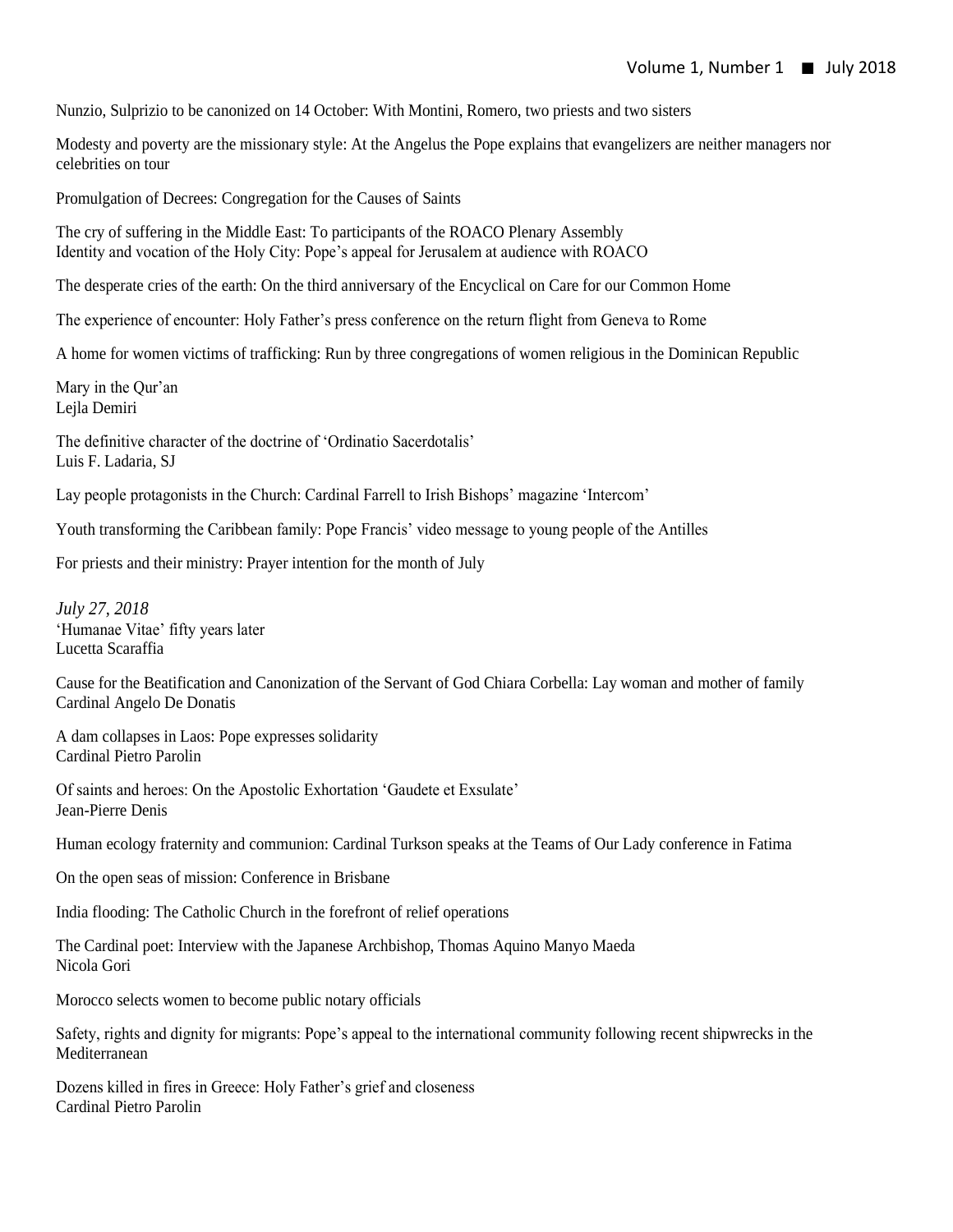Nunzio, Sulprizio to be canonized on 14 October: With Montini, Romero, two priests and two sisters

Modesty and poverty are the missionary style: At the Angelus the Pope explains that evangelizers are neither managers nor celebrities on tour

Promulgation of Decrees: Congregation for the Causes of Saints

The cry of suffering in the Middle East: To participants of the ROACO Plenary Assembly Identity and vocation of the Holy City: Pope's appeal for Jerusalem at audience with ROACO

The desperate cries of the earth: On the third anniversary of the Encyclical on Care for our Common Home

The experience of encounter: Holy Father's press conference on the return flight from Geneva to Rome

A home for women victims of trafficking: Run by three congregations of women religious in the Dominican Republic

Mary in the Qur'an Lejla Demiri

The definitive character of the doctrine of 'Ordinatio Sacerdotalis' Luis F. Ladaria, SJ

Lay people protagonists in the Church: Cardinal Farrell to Irish Bishops' magazine 'Intercom'

Youth transforming the Caribbean family: Pope Francis' video message to young people of the Antilles

For priests and their ministry: Prayer intention for the month of July

*July 27, 2018* 'Humanae Vitae' fifty years later Lucetta Scaraffia

Cause for the Beatification and Canonization of the Servant of God Chiara Corbella: Lay woman and mother of family Cardinal Angelo De Donatis

A dam collapses in Laos: Pope expresses solidarity Cardinal Pietro Parolin

Of saints and heroes: On the Apostolic Exhortation 'Gaudete et Exsulate' Jean-Pierre Denis

Human ecology fraternity and communion: Cardinal Turkson speaks at the Teams of Our Lady conference in Fatima

On the open seas of mission: Conference in Brisbane

India flooding: The Catholic Church in the forefront of relief operations

The Cardinal poet: Interview with the Japanese Archbishop, Thomas Aquino Manyo Maeda Nicola Gori

Morocco selects women to become public notary officials

Safety, rights and dignity for migrants: Pope's appeal to the international community following recent shipwrecks in the Mediterranean

Dozens killed in fires in Greece: Holy Father's grief and closeness Cardinal Pietro Parolin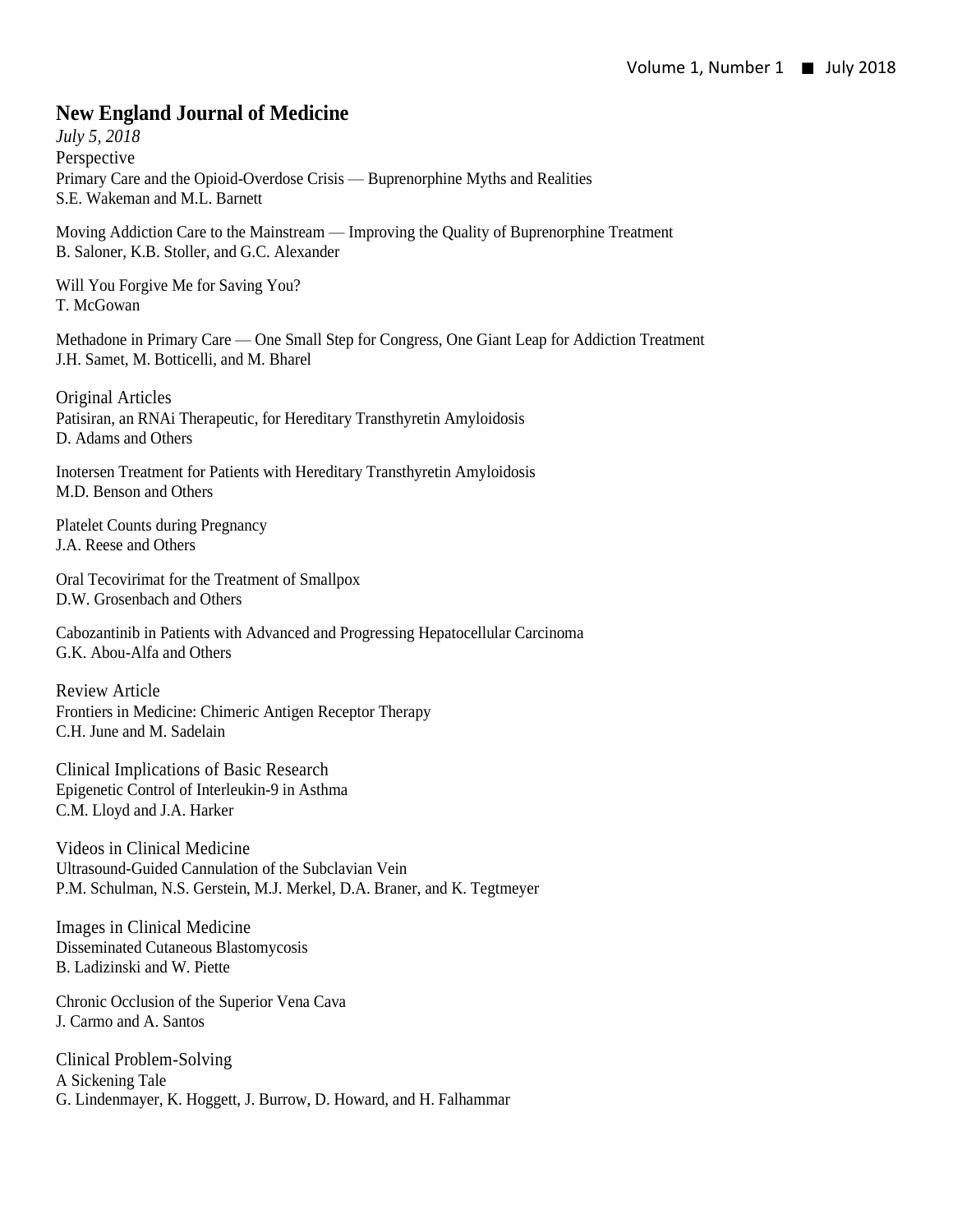### **New England Journal of Medicine**

*July 5, 2018* Perspective Primary Care and the Opioid-Overdose Crisis — Buprenorphine Myths and Realities S.E. Wakeman and M.L. Barnett

Moving Addiction Care to the Mainstream — Improving the Quality of Buprenorphine Treatment B. Saloner, K.B. Stoller, and G.C. Alexander

Will You Forgive Me for Saving You? T. McGowan

Methadone in Primary Care — One Small Step for Congress, One Giant Leap for Addiction Treatment J.H. Samet, M. Botticelli, and M. Bharel

Original Articles Patisiran, an RNAi Therapeutic, for Hereditary Transthyretin Amyloidosis D. Adams and Others

Inotersen Treatment for Patients with Hereditary Transthyretin Amyloidosis M.D. Benson and Others

Platelet Counts during Pregnancy J.A. Reese and Others

Oral Tecovirimat for the Treatment of Smallpox D.W. Grosenbach and Others

Cabozantinib in Patients with Advanced and Progressing Hepatocellular Carcinoma G.K. Abou-Alfa and Others

Review Article Frontiers in Medicine: Chimeric Antigen Receptor Therapy C.H. June and M. Sadelain

Clinical Implications of Basic Research Epigenetic Control of Interleukin-9 in Asthma C.M. Lloyd and J.A. Harker

Videos in Clinical Medicine Ultrasound-Guided Cannulation of the Subclavian Vein P.M. Schulman, N.S. Gerstein, M.J. Merkel, D.A. Braner, and K. Tegtmeyer

Images in Clinical Medicine Disseminated Cutaneous Blastomycosis B. Ladizinski and W. Piette

Chronic Occlusion of the Superior Vena Cava J. Carmo and A. Santos

Clinical Problem-Solving A Sickening Tale G. Lindenmayer, K. Hoggett, J. Burrow, D. Howard, and H. Falhammar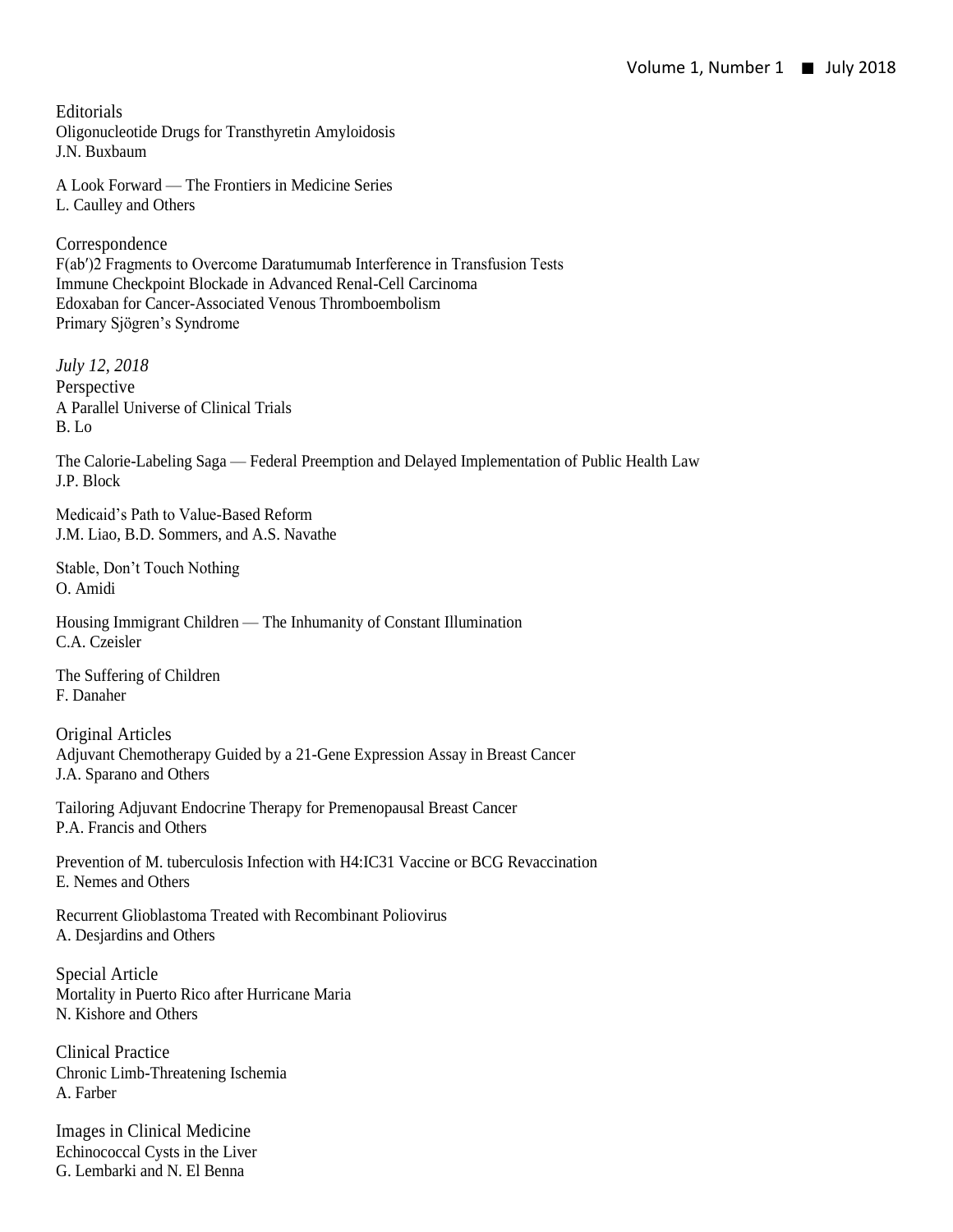**Editorials** Oligonucleotide Drugs for Transthyretin Amyloidosis J.N. Buxbaum

A Look Forward — The Frontiers in Medicine Series L. Caulley and Others

Correspondence F(ab′)2 Fragments to Overcome Daratumumab Interference in Transfusion Tests Immune Checkpoint Blockade in Advanced Renal-Cell Carcinoma Edoxaban for Cancer-Associated Venous Thromboembolism Primary Sjögren's Syndrome

*July 12, 2018* Perspective A Parallel Universe of Clinical Trials B. Lo

The Calorie-Labeling Saga — Federal Preemption and Delayed Implementation of Public Health Law J.P. Block

Medicaid's Path to Value-Based Reform J.M. Liao, B.D. Sommers, and A.S. Navathe

Stable, Don't Touch Nothing O. Amidi

Housing Immigrant Children — The Inhumanity of Constant Illumination C.A. Czeisler

The Suffering of Children F. Danaher

Original Articles Adjuvant Chemotherapy Guided by a 21-Gene Expression Assay in Breast Cancer J.A. Sparano and Others

Tailoring Adjuvant Endocrine Therapy for Premenopausal Breast Cancer P.A. Francis and Others

Prevention of M. tuberculosis Infection with H4:IC31 Vaccine or BCG Revaccination E. Nemes and Others

Recurrent Glioblastoma Treated with Recombinant Poliovirus A. Desjardins and Others

Special Article Mortality in Puerto Rico after Hurricane Maria N. Kishore and Others

Clinical Practice Chronic Limb-Threatening Ischemia A. Farber

Images in Clinical Medicine Echinococcal Cysts in the Liver G. Lembarki and N. El Benna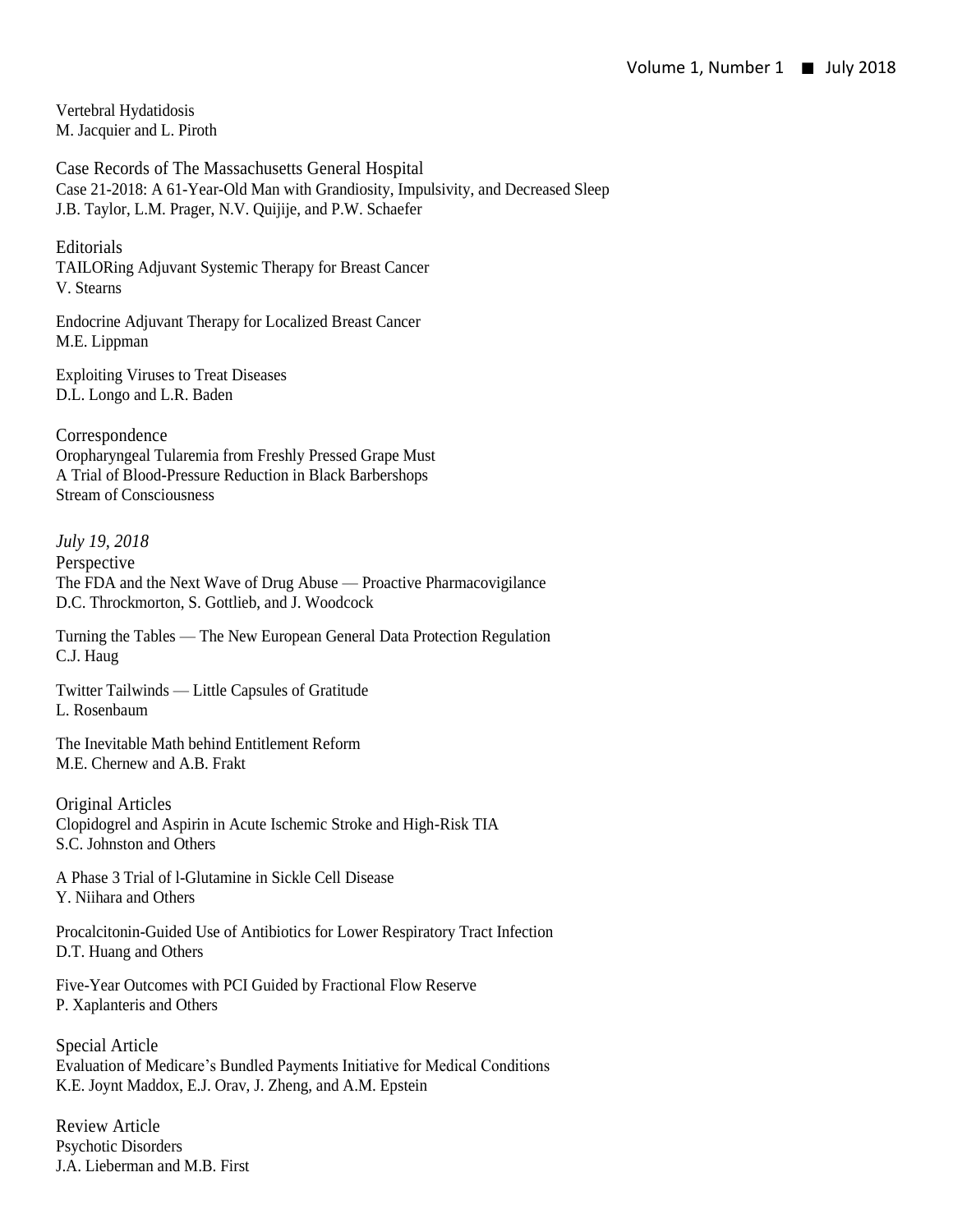Vertebral Hydatidosis M. Jacquier and L. Piroth

Case Records of The Massachusetts General Hospital Case 21-2018: A 61-Year-Old Man with Grandiosity, Impulsivity, and Decreased Sleep J.B. Taylor, L.M. Prager, N.V. Quijije, and P.W. Schaefer

Editorials TAILORing Adjuvant Systemic Therapy for Breast Cancer V. Stearns

Endocrine Adjuvant Therapy for Localized Breast Cancer M.E. Lippman

Exploiting Viruses to Treat Diseases D.L. Longo and L.R. Baden

Correspondence Oropharyngeal Tularemia from Freshly Pressed Grape Must A Trial of Blood-Pressure Reduction in Black Barbershops Stream of Consciousness

*July 19, 2018* Perspective The FDA and the Next Wave of Drug Abuse — Proactive Pharmacovigilance D.C. Throckmorton, S. Gottlieb, and J. Woodcock

Turning the Tables — The New European General Data Protection Regulation C.J. Haug

Twitter Tailwinds — Little Capsules of Gratitude L. Rosenbaum

The Inevitable Math behind Entitlement Reform M.E. Chernew and A.B. Frakt

Original Articles Clopidogrel and Aspirin in Acute Ischemic Stroke and High-Risk TIA S.C. Johnston and Others

A Phase 3 Trial of l-Glutamine in Sickle Cell Disease Y. Niihara and Others

Procalcitonin-Guided Use of Antibiotics for Lower Respiratory Tract Infection D.T. Huang and Others

Five-Year Outcomes with PCI Guided by Fractional Flow Reserve P. Xaplanteris and Others

Special Article Evaluation of Medicare's Bundled Payments Initiative for Medical Conditions K.E. Joynt Maddox, E.J. Orav, J. Zheng, and A.M. Epstein

Review Article Psychotic Disorders J.A. Lieberman and M.B. First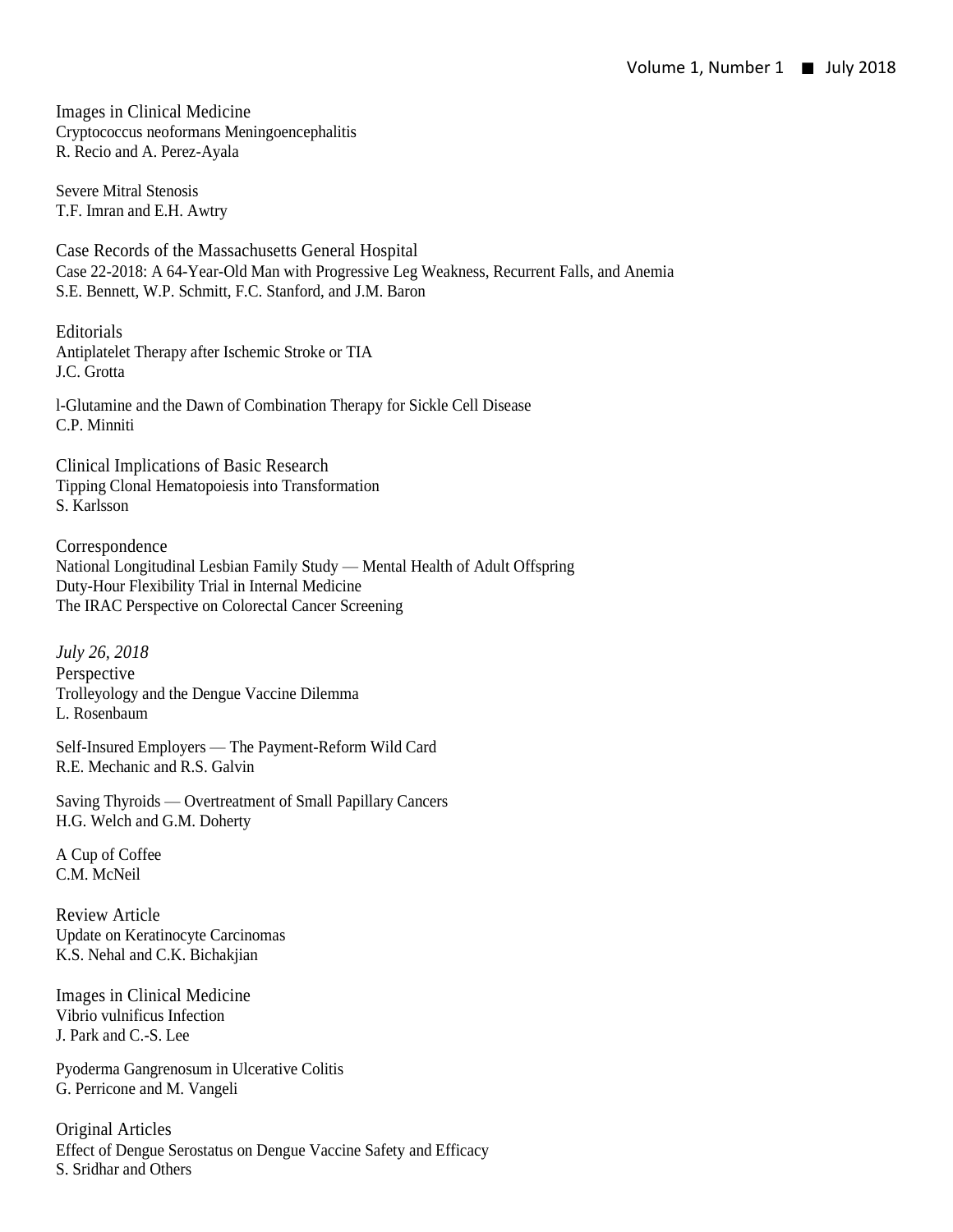Images in Clinical Medicine Cryptococcus neoformans Meningoencephalitis R. Recio and A. Perez-Ayala

Severe Mitral Stenosis T.F. Imran and E.H. Awtry

Case Records of the Massachusetts General Hospital Case 22-2018: A 64-Year-Old Man with Progressive Leg Weakness, Recurrent Falls, and Anemia S.E. Bennett, W.P. Schmitt, F.C. Stanford, and J.M. Baron

Editorials Antiplatelet Therapy after Ischemic Stroke or TIA J.C. Grotta

l-Glutamine and the Dawn of Combination Therapy for Sickle Cell Disease C.P. Minniti

Clinical Implications of Basic Research Tipping Clonal Hematopoiesis into Transformation S. Karlsson

Correspondence National Longitudinal Lesbian Family Study — Mental Health of Adult Offspring Duty-Hour Flexibility Trial in Internal Medicine The IRAC Perspective on Colorectal Cancer Screening

*July 26, 2018* Perspective Trolleyology and the Dengue Vaccine Dilemma L. Rosenbaum

Self-Insured Employers — The Payment-Reform Wild Card R.E. Mechanic and R.S. Galvin

Saving Thyroids — Overtreatment of Small Papillary Cancers H.G. Welch and G.M. Doherty

A Cup of Coffee C.M. McNeil

Review Article Update on Keratinocyte Carcinomas K.S. Nehal and C.K. Bichakjian

Images in Clinical Medicine Vibrio vulnificus Infection J. Park and C.-S. Lee

Pyoderma Gangrenosum in Ulcerative Colitis G. Perricone and M. Vangeli

Original Articles Effect of Dengue Serostatus on Dengue Vaccine Safety and Efficacy S. Sridhar and Others